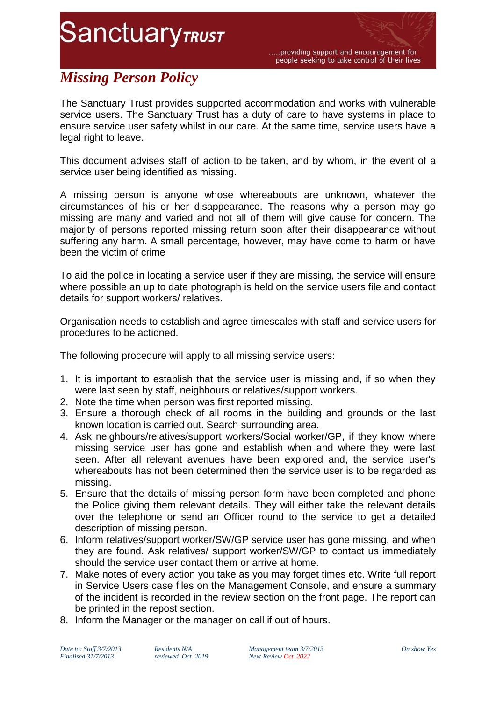**SanctuaryTRUST** 

.....providing support and encouragement for people seeking to take control of their lives

## *Missing Person Policy*

The Sanctuary Trust provides supported accommodation and works with vulnerable service users. The Sanctuary Trust has a duty of care to have systems in place to ensure service user safety whilst in our care. At the same time, service users have a legal right to leave.

This document advises staff of action to be taken, and by whom, in the event of a service user being identified as missing.

A missing person is anyone whose whereabouts are unknown, whatever the circumstances of his or her disappearance. The reasons why a person may go missing are many and varied and not all of them will give cause for concern. The majority of persons reported missing return soon after their disappearance without suffering any harm. A small percentage, however, may have come to harm or have been the victim of crime

To aid the police in locating a service user if they are missing, the service will ensure where possible an up to date photograph is held on the service users file and contact details for support workers/ relatives.

Organisation needs to establish and agree timescales with staff and service users for procedures to be actioned.

The following procedure will apply to all missing service users:

- 1. It is important to establish that the service user is missing and, if so when they were last seen by staff, neighbours or relatives/support workers.
- 2. Note the time when person was first reported missing.
- 3. Ensure a thorough check of all rooms in the building and grounds or the last known location is carried out. Search surrounding area.
- 4. Ask neighbours/relatives/support workers/Social worker/GP, if they know where missing service user has gone and establish when and where they were last seen. After all relevant avenues have been explored and, the service user's whereabouts has not been determined then the service user is to be regarded as missing.
- 5. Ensure that the details of missing person form have been completed and phone the Police giving them relevant details. They will either take the relevant details over the telephone or send an Officer round to the service to get a detailed description of missing person.
- 6. Inform relatives/support worker/SW/GP service user has gone missing, and when they are found. Ask relatives/ support worker/SW/GP to contact us immediately should the service user contact them or arrive at home.
- 7. Make notes of every action you take as you may forget times etc. Write full report in Service Users case files on the Management Console, and ensure a summary of the incident is recorded in the review section on the front page. The report can be printed in the repost section.
- 8. Inform the Manager or the manager on call if out of hours.

*Date to: Staff 3/7/2013 Residents N/A Management team 3/7/2013 On show Yes Finalised 31/7/2013 reviewed Oct 2019 Next Review Oct 2022*